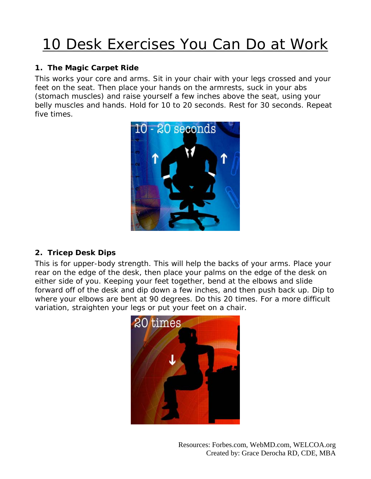# 10 Desk Exercises You Can Do at Work

## **1. The Magic Carpet Ride**

This works your core and arms. Sit in your chair with your legs crossed and your feet on the seat. Then place your hands on the armrests, suck in your abs (stomach muscles) and raise yourself a few inches above the seat, using your belly muscles and hands. Hold for 10 to 20 seconds. Rest for 30 seconds. Repeat five times.



# **2. Tricep Desk Dips**

This is for upper-body strength. This will help the backs of your arms. Place your rear on the edge of the desk, then place your palms on the edge of the desk on either side of you. Keeping your feet together, bend at the elbows and slide forward off of the desk and dip down a few inches, and then push back up. Dip to where your elbows are bent at 90 degrees. Do this 20 times. For a more difficult variation, straighten your legs or put your feet on a chair.

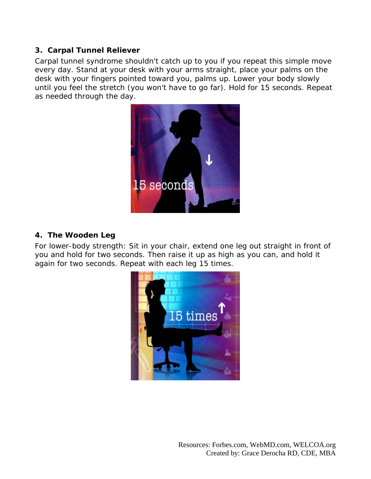#### **3. Carpal Tunnel Reliever**

Carpal tunnel syndrome shouldn't catch up to you if you repeat this simple move every day. Stand at your desk with your arms straight, place your palms on the desk with your fingers pointed toward you, palms up. Lower your body slowly until you feel the stretch (you won't have to go far). Hold for 15 seconds. Repeat as needed through the day.



#### **4. The Wooden Leg**

For lower-body strength: Sit in your chair, extend one leg out straight in front of you and hold for two seconds. Then raise it up as high as you can, and hold it again for two seconds. Repeat with each leg 15 times.

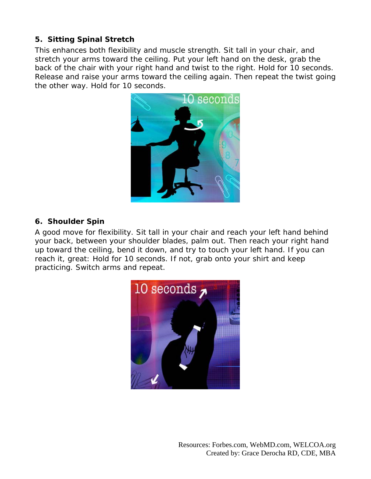## **5. Sitting Spinal Stretch**

This enhances both flexibility and muscle strength. Sit tall in your chair, and stretch your arms toward the ceiling. Put your left hand on the desk, grab the back of the chair with your right hand and twist to the right. Hold for 10 seconds. Release and raise your arms toward the ceiling again. Then repeat the twist going the other way. Hold for 10 seconds.



#### **6. Shoulder Spin**

A good move for flexibility. Sit tall in your chair and reach your left hand behind your back, between your shoulder blades, palm out. Then reach your right hand up toward the ceiling, bend it down, and try to touch your left hand. If you can reach it, great: Hold for 10 seconds. If not, grab onto your shirt and keep practicing. Switch arms and repeat.

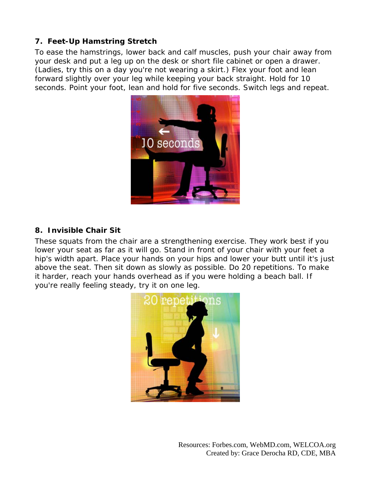# **7. Feet-Up Hamstring Stretch**

To ease the hamstrings, lower back and calf muscles, push your chair away from your desk and put a leg up on the desk or short file cabinet or open a drawer. (Ladies, try this on a day you're not wearing a skirt.) Flex your foot and lean forward slightly over your leg while keeping your back straight. Hold for 10 seconds. Point your foot, lean and hold for five seconds. Switch legs and repeat.



#### **8. Invisible Chair Sit**

These squats from the chair are a strengthening exercise. They work best if you lower your seat as far as it will go. Stand in front of your chair with your feet a hip's width apart. Place your hands on your hips and lower your butt until it's just above the seat. Then sit down as slowly as possible. Do 20 repetitions. To make it harder, reach your hands overhead as if you were holding a beach ball. If you're really feeling steady, try it on one leg.